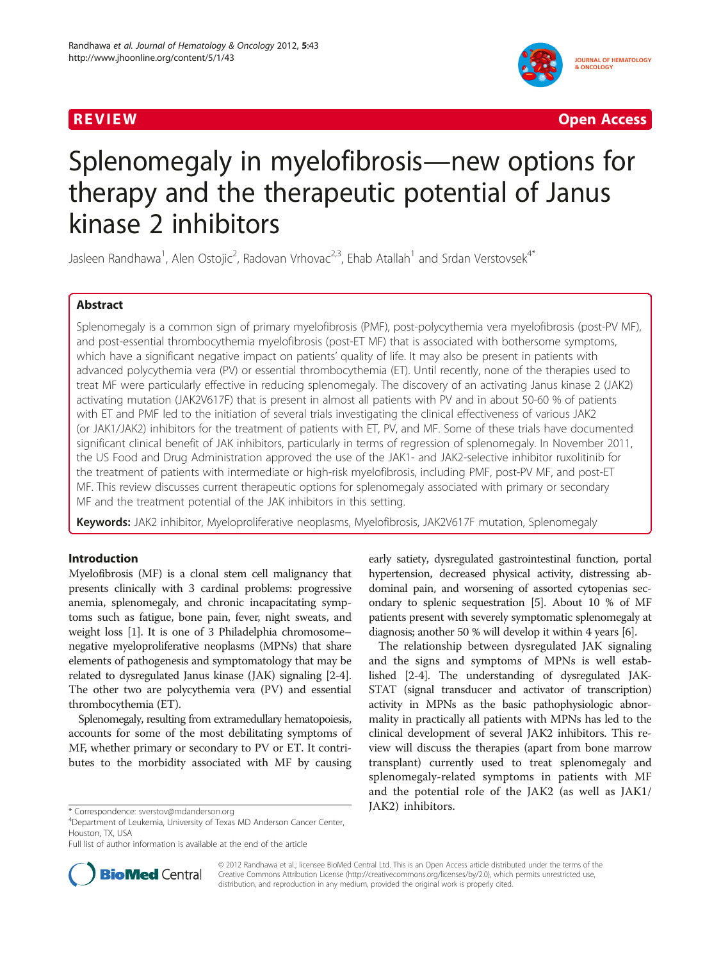

**REVIEW CONSIDERING CONSIDERING CONSIDERING CONSIDERING CONSIDERING CONSIDERING CONSIDERING CONSIDERING CONSIDERING CONSIDERING CONSIDERING CONSIDERING CONSIDERING CONSIDERING CONSIDERING CONSIDERING CONSIDERING CONSIDER** 

# Splenomegaly in myelofibrosis—new options for therapy and the therapeutic potential of Janus kinase 2 inhibitors

Jasleen Randhawa<sup>1</sup>, Alen Ostojic<sup>2</sup>, Radovan Vrhovac<sup>2,3</sup>, Ehab Atallah<sup>1</sup> and Srdan Verstovsek<sup>4\*</sup>

# Abstract

Splenomegaly is a common sign of primary myelofibrosis (PMF), post-polycythemia vera myelofibrosis (post-PV MF), and post-essential thrombocythemia myelofibrosis (post-ET MF) that is associated with bothersome symptoms, which have a significant negative impact on patients' quality of life. It may also be present in patients with advanced polycythemia vera (PV) or essential thrombocythemia (ET). Until recently, none of the therapies used to treat MF were particularly effective in reducing splenomegaly. The discovery of an activating Janus kinase 2 (JAK2) activating mutation (JAK2V617F) that is present in almost all patients with PV and in about 50-60 % of patients with ET and PMF led to the initiation of several trials investigating the clinical effectiveness of various JAK2 (or JAK1/JAK2) inhibitors for the treatment of patients with ET, PV, and MF. Some of these trials have documented significant clinical benefit of JAK inhibitors, particularly in terms of regression of splenomegaly. In November 2011, the US Food and Drug Administration approved the use of the JAK1- and JAK2-selective inhibitor ruxolitinib for the treatment of patients with intermediate or high-risk myelofibrosis, including PMF, post-PV MF, and post-ET MF. This review discusses current therapeutic options for splenomegaly associated with primary or secondary MF and the treatment potential of the JAK inhibitors in this setting.

Keywords: JAK2 inhibitor, Myeloproliferative neoplasms, Myelofibrosis, JAK2V617F mutation, Splenomegaly

# Introduction

Myelofibrosis (MF) is a clonal stem cell malignancy that presents clinically with 3 cardinal problems: progressive anemia, splenomegaly, and chronic incapacitating symptoms such as fatigue, bone pain, fever, night sweats, and weight loss [\[1](#page-5-0)]. It is one of 3 Philadelphia chromosome– negative myeloproliferative neoplasms (MPNs) that share elements of pathogenesis and symptomatology that may be related to dysregulated Janus kinase (JAK) signaling [\[2](#page-5-0)-[4](#page-5-0)]. The other two are polycythemia vera (PV) and essential thrombocythemia (ET).

Splenomegaly, resulting from extramedullary hematopoiesis, accounts for some of the most debilitating symptoms of MF, whether primary or secondary to PV or ET. It contributes to the morbidity associated with MF by causing



The relationship between dysregulated JAK signaling and the signs and symptoms of MPNs is well established [[2](#page-5-0)-[4](#page-5-0)]. The understanding of dysregulated JAK-STAT (signal transducer and activator of transcription) activity in MPNs as the basic pathophysiologic abnormality in practically all patients with MPNs has led to the clinical development of several JAK2 inhibitors. This review will discuss the therapies (apart from bone marrow transplant) currently used to treat splenomegaly and splenomegaly-related symptoms in patients with MF and the potential role of the JAK2 (as well as JAK1/



© 2012 Randhawa et al.; licensee BioMed Central Ltd. This is an Open Access article distributed under the terms of the Creative Commons Attribution License (<http://creativecommons.org/licenses/by/2.0>), which permits unrestricted use, distribution, and reproduction in any medium, provided the original work is properly cited.

JAK2) inhibitors. \* Correspondence: [sverstov@mdanderson.org](mailto:sverstov@mdanderson.org) <sup>4</sup>

Department of Leukemia, University of Texas MD Anderson Cancer Center, Houston, TX, USA

Full list of author information is available at the end of the article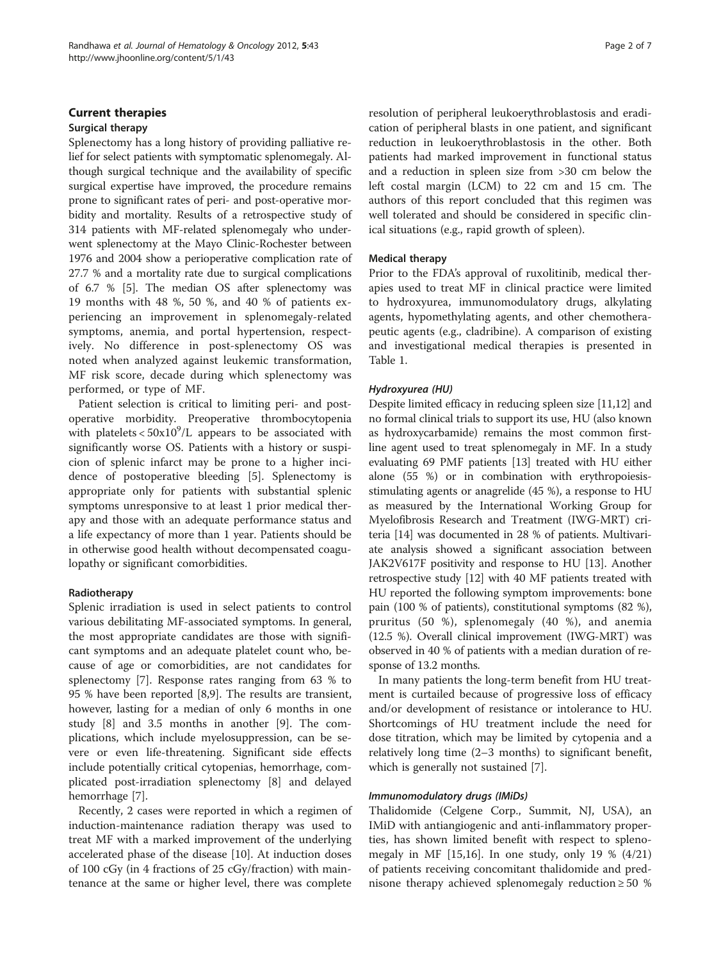# Current therapies

#### Surgical therapy

Splenectomy has a long history of providing palliative relief for select patients with symptomatic splenomegaly. Although surgical technique and the availability of specific surgical expertise have improved, the procedure remains prone to significant rates of peri- and post-operative morbidity and mortality. Results of a retrospective study of 314 patients with MF-related splenomegaly who underwent splenectomy at the Mayo Clinic-Rochester between 1976 and 2004 show a perioperative complication rate of 27.7 % and a mortality rate due to surgical complications of 6.7 % [\[5](#page-5-0)]. The median OS after splenectomy was 19 months with 48 %, 50 %, and 40 % of patients experiencing an improvement in splenomegaly-related symptoms, anemia, and portal hypertension, respectively. No difference in post-splenectomy OS was noted when analyzed against leukemic transformation, MF risk score, decade during which splenectomy was performed, or type of MF.

Patient selection is critical to limiting peri- and postoperative morbidity. Preoperative thrombocytopenia with platelets  $< 50x10^9/L$  appears to be associated with significantly worse OS. Patients with a history or suspicion of splenic infarct may be prone to a higher incidence of postoperative bleeding [[5\]](#page-5-0). Splenectomy is appropriate only for patients with substantial splenic symptoms unresponsive to at least 1 prior medical therapy and those with an adequate performance status and a life expectancy of more than 1 year. Patients should be in otherwise good health without decompensated coagulopathy or significant comorbidities.

#### Radiotherapy

Splenic irradiation is used in select patients to control various debilitating MF-associated symptoms. In general, the most appropriate candidates are those with significant symptoms and an adequate platelet count who, because of age or comorbidities, are not candidates for splenectomy [\[7](#page-5-0)]. Response rates ranging from 63 % to 95 % have been reported [\[8,9](#page-5-0)]. The results are transient, however, lasting for a median of only 6 months in one study [[8](#page-5-0)] and 3.5 months in another [\[9](#page-5-0)]. The complications, which include myelosuppression, can be severe or even life-threatening. Significant side effects include potentially critical cytopenias, hemorrhage, complicated post-irradiation splenectomy [[8\]](#page-5-0) and delayed hemorrhage [[7\]](#page-5-0).

Recently, 2 cases were reported in which a regimen of induction-maintenance radiation therapy was used to treat MF with a marked improvement of the underlying accelerated phase of the disease [\[10\]](#page-5-0). At induction doses of 100 cGy (in 4 fractions of 25 cGy/fraction) with maintenance at the same or higher level, there was complete resolution of peripheral leukoerythroblastosis and eradication of peripheral blasts in one patient, and significant reduction in leukoerythroblastosis in the other. Both patients had marked improvement in functional status and a reduction in spleen size from >30 cm below the left costal margin (LCM) to 22 cm and 15 cm. The authors of this report concluded that this regimen was well tolerated and should be considered in specific clinical situations (e.g., rapid growth of spleen).

# Medical therapy

Prior to the FDA's approval of ruxolitinib, medical therapies used to treat MF in clinical practice were limited to hydroxyurea, immunomodulatory drugs, alkylating agents, hypomethylating agents, and other chemotherapeutic agents (e.g., cladribine). A comparison of existing and investigational medical therapies is presented in Table [1.](#page-2-0)

# Hydroxyurea (HU)

Despite limited efficacy in reducing spleen size [[11,12](#page-5-0)] and no formal clinical trials to support its use, HU (also known as hydroxycarbamide) remains the most common firstline agent used to treat splenomegaly in MF. In a study evaluating 69 PMF patients [[13\]](#page-5-0) treated with HU either alone (55 %) or in combination with erythropoiesisstimulating agents or anagrelide (45 %), a response to HU as measured by the International Working Group for Myelofibrosis Research and Treatment (IWG-MRT) criteria [[14](#page-5-0)] was documented in 28 % of patients. Multivariate analysis showed a significant association between JAK2V617F positivity and response to HU [\[13](#page-5-0)]. Another retrospective study [\[12](#page-5-0)] with 40 MF patients treated with HU reported the following symptom improvements: bone pain (100 % of patients), constitutional symptoms (82 %), pruritus (50 %), splenomegaly (40 %), and anemia (12.5 %). Overall clinical improvement (IWG-MRT) was observed in 40 % of patients with a median duration of response of 13.2 months.

In many patients the long-term benefit from HU treatment is curtailed because of progressive loss of efficacy and/or development of resistance or intolerance to HU. Shortcomings of HU treatment include the need for dose titration, which may be limited by cytopenia and a relatively long time (2–3 months) to significant benefit, which is generally not sustained [[7\]](#page-5-0).

#### Immunomodulatory drugs (IMiDs)

Thalidomide (Celgene Corp., Summit, NJ, USA), an IMiD with antiangiogenic and anti-inflammatory properties, has shown limited benefit with respect to splenomegaly in MF  $[15,16]$  $[15,16]$  $[15,16]$  $[15,16]$  $[15,16]$ . In one study, only 19 %  $(4/21)$ of patients receiving concomitant thalidomide and prednisone therapy achieved splenomegaly reduction ≥ 50 %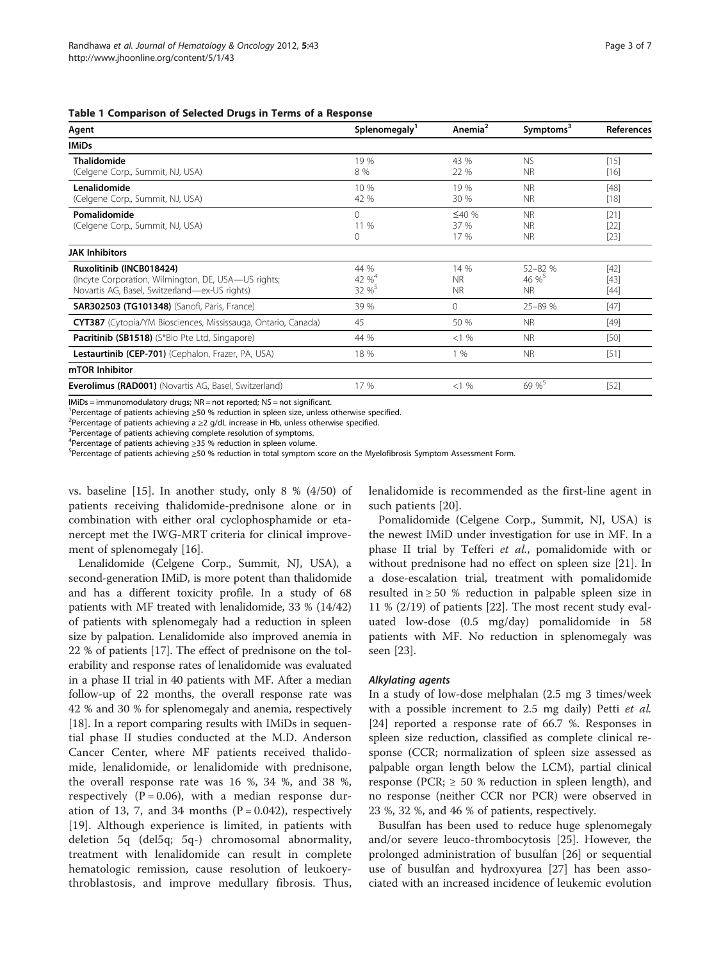<span id="page-2-0"></span>Table 1 Comparison of Selected Drugs in Terms of a Response

| Agent                                                         | Splenomegaly'     | Anemia <sup>2</sup> | Symptoms <sup>3</sup> | <b>References</b> |
|---------------------------------------------------------------|-------------------|---------------------|-----------------------|-------------------|
| <b>IMiDs</b>                                                  |                   |                     |                       |                   |
| <b>Thalidomide</b>                                            | 19 %              | 43 %                | <b>NS</b>             | $[15]$            |
| (Celgene Corp., Summit, NJ, USA)                              | 8 %               | 22 %                | <b>NR</b>             | $[16]$            |
| Lenalidomide                                                  | 10 %              | 19 %                | <b>NR</b>             | $[48]$            |
| (Celgene Corp., Summit, NJ, USA)                              | 42 %              | 30 %                | <b>NR</b>             | $[18]$            |
| Pomalidomide                                                  | 0                 | ≤40%                | <b>NR</b>             | $[21]$            |
| (Celgene Corp., Summit, NJ, USA)                              | 11 %              | 37 %                | <b>NR</b>             | $[22]$            |
|                                                               | 0                 | 17 %                | <b>NR</b>             | $[23]$            |
| <b>JAK Inhibitors</b>                                         |                   |                     |                       |                   |
| Ruxolitinib (INCB018424)                                      | 44 %              | 14 %                | $52 - 82%$            | $[42]$            |
| (Incyte Corporation, Wilmington, DE, USA-US rights;           | 42 % <sup>4</sup> | <b>NR</b>           | 46 %                  | $[43]$            |
| Novartis AG, Basel, Switzerland—ex-US rights)                 | 32 % <sup>5</sup> | N <sub>R</sub>      | N <sub>R</sub>        | $[44]$            |
| <b>SAR302503 (TG101348)</b> (Sanofi, Paris, France)           | 39 %              | $\Omega$            | $25 - 89%$            | $[47]$            |
| CYT387 (Cytopia/YM Biosciences, Mississauga, Ontario, Canada) | 45                | 50 %                | N <sub>R</sub>        | $[49]$            |
| <b>Pacritinib (SB1518)</b> (S*Bio Pte Ltd, Singapore)         | 44 %              | <1%                 | <b>NR</b>             | $[50]$            |
| Lestaurtinib (CEP-701) (Cephalon, Frazer, PA, USA)            | 18 %              | 1 %                 | N <sub>R</sub>        | $[51]$            |
| mTOR Inhibitor                                                |                   |                     |                       |                   |
| <b>Everolimus (RAD001)</b> (Novartis AG, Basel, Switzerland)  | 17 %              | <1%                 | 69 %                  | $[52]$            |

IMiDs = immunomodulatory drugs; NR = not reported; NS = not significant.

<sup>1</sup> Percentage of patients achieving ≥50 % reduction in spleen size, unless otherwise specified.<br><sup>2</sup> Percentage of patients achieving a >2 g/dl, increase in Hb, unless otherwise specified.

<sup>2</sup>Percentage of patients achieving a  $\geq$ 2 g/dL increase in Hb, unless otherwise specified.

<sup>3</sup>Percentage of patients achieving complete resolution of symptoms.

<sup>4</sup> Percentage of patients achieving ≥35 % reduction in spleen volume.<br><sup>5</sup> Percentage of patients achieving >50 % reduction in total symptom

Percentage of patients achieving ≥50 % reduction in total symptom score on the Myelofibrosis Symptom Assessment Form.

vs. baseline [\[15](#page-5-0)]. In another study, only 8 % (4/50) of patients receiving thalidomide-prednisone alone or in combination with either oral cyclophosphamide or etanercept met the IWG-MRT criteria for clinical improvement of splenomegaly [[16\]](#page-5-0).

Lenalidomide (Celgene Corp., Summit, NJ, USA), a second-generation IMiD, is more potent than thalidomide and has a different toxicity profile. In a study of 68 patients with MF treated with lenalidomide, 33 % (14/42) of patients with splenomegaly had a reduction in spleen size by palpation. Lenalidomide also improved anemia in 22 % of patients [[17](#page-5-0)]. The effect of prednisone on the tolerability and response rates of lenalidomide was evaluated in a phase II trial in 40 patients with MF. After a median follow-up of 22 months, the overall response rate was 42 % and 30 % for splenomegaly and anemia, respectively [[18](#page-5-0)]. In a report comparing results with IMiDs in sequential phase II studies conducted at the M.D. Anderson Cancer Center, where MF patients received thalidomide, lenalidomide, or lenalidomide with prednisone, the overall response rate was 16 %, 34 %, and 38 %, respectively  $(P = 0.06)$ , with a median response duration of 13, 7, and 34 months  $(P = 0.042)$ , respectively [[19\]](#page-5-0). Although experience is limited, in patients with deletion 5q (del5q; 5q-) chromosomal abnormality, treatment with lenalidomide can result in complete hematologic remission, cause resolution of leukoerythroblastosis, and improve medullary fibrosis. Thus, lenalidomide is recommended as the first-line agent in such patients [[20\]](#page-5-0).

Pomalidomide (Celgene Corp., Summit, NJ, USA) is the newest IMiD under investigation for use in MF. In a phase II trial by Tefferi et al., pomalidomide with or without prednisone had no effect on spleen size [\[21](#page-5-0)]. In a dose-escalation trial, treatment with pomalidomide resulted in  $\geq 50$  % reduction in palpable spleen size in 11 % (2/19) of patients [[22](#page-5-0)]. The most recent study evaluated low-dose (0.5 mg/day) pomalidomide in 58 patients with MF. No reduction in splenomegaly was seen [[23\]](#page-5-0).

#### Alkylating agents

In a study of low-dose melphalan (2.5 mg 3 times/week with a possible increment to 2.5 mg daily) Petti et al. [[24\]](#page-5-0) reported a response rate of 66.7 %. Responses in spleen size reduction, classified as complete clinical response (CCR; normalization of spleen size assessed as palpable organ length below the LCM), partial clinical response (PCR;  $\geq$  50 % reduction in spleen length), and no response (neither CCR nor PCR) were observed in 23 %, 32 %, and 46 % of patients, respectively.

Busulfan has been used to reduce huge splenomegaly and/or severe leuco-thrombocytosis [[25\]](#page-5-0). However, the prolonged administration of busulfan [[26\]](#page-5-0) or sequential use of busulfan and hydroxyurea [\[27](#page-5-0)] has been associated with an increased incidence of leukemic evolution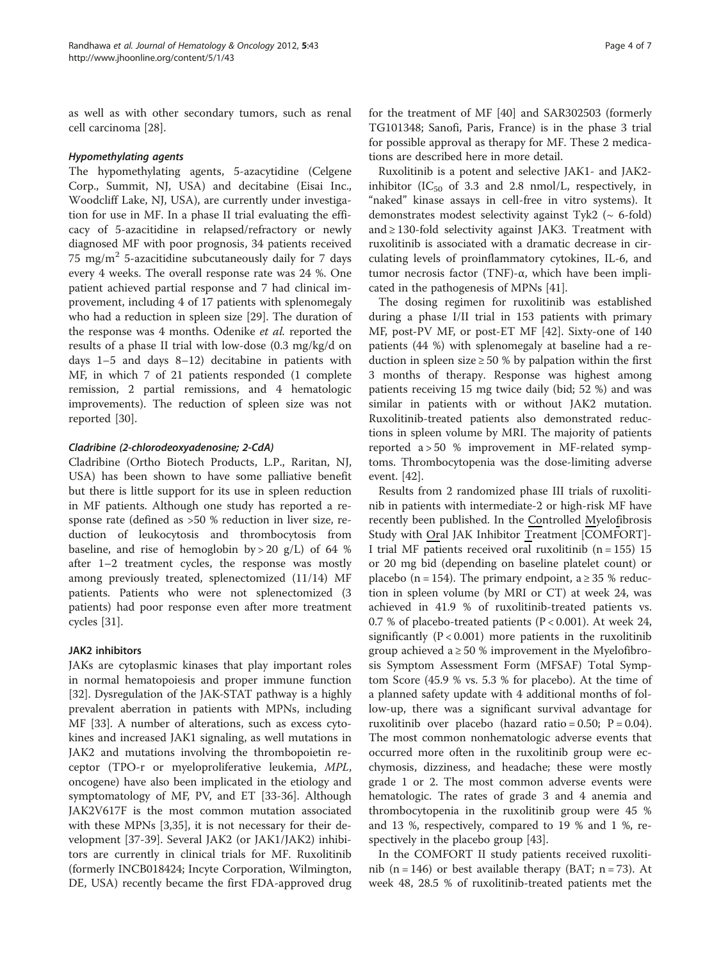as well as with other secondary tumors, such as renal cell carcinoma [\[28\]](#page-6-0).

#### Hypomethylating agents

The hypomethylating agents, 5-azacytidine (Celgene Corp., Summit, NJ, USA) and decitabine (Eisai Inc., Woodcliff Lake, NJ, USA), are currently under investigation for use in MF. In a phase II trial evaluating the efficacy of 5-azacitidine in relapsed/refractory or newly diagnosed MF with poor prognosis, 34 patients received 75 mg/m<sup>2</sup> 5-azacitidine subcutaneously daily for 7 days every 4 weeks. The overall response rate was 24 %. One patient achieved partial response and 7 had clinical improvement, including 4 of 17 patients with splenomegaly who had a reduction in spleen size [[29\]](#page-6-0). The duration of the response was 4 months. Odenike et al. reported the results of a phase II trial with low-dose (0.3 mg/kg/d on days 1–5 and days 8–12) decitabine in patients with MF, in which 7 of 21 patients responded (1 complete remission, 2 partial remissions, and 4 hematologic improvements). The reduction of spleen size was not reported [\[30](#page-6-0)].

# Cladribine (2-chlorodeoxyadenosine; 2-CdA)

Cladribine (Ortho Biotech Products, L.P., Raritan, NJ, USA) has been shown to have some palliative benefit but there is little support for its use in spleen reduction in MF patients. Although one study has reported a response rate (defined as >50 % reduction in liver size, reduction of leukocytosis and thrombocytosis from baseline, and rise of hemoglobin by > 20 g/L) of 64 % after 1–2 treatment cycles, the response was mostly among previously treated, splenectomized (11/14) MF patients. Patients who were not splenectomized (3 patients) had poor response even after more treatment cycles [[31\]](#page-6-0).

# JAK2 inhibitors

JAKs are cytoplasmic kinases that play important roles in normal hematopoiesis and proper immune function [[32\]](#page-6-0). Dysregulation of the JAK-STAT pathway is a highly prevalent aberration in patients with MPNs, including MF [\[33\]](#page-6-0). A number of alterations, such as excess cytokines and increased JAK1 signaling, as well mutations in JAK2 and mutations involving the thrombopoietin receptor (TPO-r or myeloproliferative leukemia, MPL, oncogene) have also been implicated in the etiology and symptomatology of MF, PV, and ET [\[33-36](#page-6-0)]. Although JAK2V617F is the most common mutation associated with these MPNs [\[3](#page-5-0)[,35](#page-6-0)], it is not necessary for their development [\[37-39](#page-6-0)]. Several JAK2 (or JAK1/JAK2) inhibitors are currently in clinical trials for MF. Ruxolitinib (formerly INCB018424; Incyte Corporation, Wilmington, DE, USA) recently became the first FDA-approved drug

for the treatment of MF [[40](#page-6-0)] and SAR302503 (formerly TG101348; Sanofi, Paris, France) is in the phase 3 trial for possible approval as therapy for MF. These 2 medications are described here in more detail.

Ruxolitinib is a potent and selective JAK1- and JAK2 inhibitor ( $IC_{50}$  of 3.3 and 2.8 nmol/L, respectively, in "naked" kinase assays in cell-free in vitro systems). It demonstrates modest selectivity against Tyk2 ( $\sim$  6-fold) and ≥ 130-fold selectivity against JAK3. Treatment with ruxolitinib is associated with a dramatic decrease in circulating levels of proinflammatory cytokines, IL-6, and tumor necrosis factor (TNF)-α, which have been implicated in the pathogenesis of MPNs [[41\]](#page-6-0).

The dosing regimen for ruxolitinib was established during a phase I/II trial in 153 patients with primary MF, post-PV MF, or post-ET MF [[42\]](#page-6-0). Sixty-one of 140 patients (44 %) with splenomegaly at baseline had a reduction in spleen size  $\geq 50$  % by palpation within the first 3 months of therapy. Response was highest among patients receiving 15 mg twice daily (bid; 52 %) and was similar in patients with or without JAK2 mutation. Ruxolitinib-treated patients also demonstrated reductions in spleen volume by MRI. The majority of patients reported a > 50 % improvement in MF-related symptoms. Thrombocytopenia was the dose-limiting adverse event. [[42\]](#page-6-0).

Results from 2 randomized phase III trials of ruxolitinib in patients with intermediate-2 or high-risk MF have recently been published. In the Controlled Myelofibrosis Study with Oral JAK Inhibitor Treatment [COMFORT]- I trial MF patients received oral ruxolitinib ( $n = 155$ ) 15 or 20 mg bid (depending on baseline platelet count) or placebo (n = 154). The primary endpoint, a  $\geq$  35 % reduction in spleen volume (by MRI or CT) at week 24, was achieved in 41.9 % of ruxolitinib-treated patients vs. 0.7 % of placebo-treated patients (P < 0.001). At week 24, significantly  $(P < 0.001)$  more patients in the ruxolitinib group achieved a  $\geq$  50 % improvement in the Myelofibrosis Symptom Assessment Form (MFSAF) Total Symptom Score (45.9 % vs. 5.3 % for placebo). At the time of a planned safety update with 4 additional months of follow-up, there was a significant survival advantage for ruxolitinib over placebo (hazard ratio =  $0.50$ ; P =  $0.04$ ). The most common nonhematologic adverse events that occurred more often in the ruxolitinib group were ecchymosis, dizziness, and headache; these were mostly grade 1 or 2. The most common adverse events were hematologic. The rates of grade 3 and 4 anemia and thrombocytopenia in the ruxolitinib group were 45 % and 13 %, respectively, compared to 19 % and 1 %, respectively in the placebo group [\[43](#page-6-0)].

In the COMFORT II study patients received ruxolitinib  $(n = 146)$  or best available therapy (BAT; n = 73). At week 48, 28.5 % of ruxolitinib-treated patients met the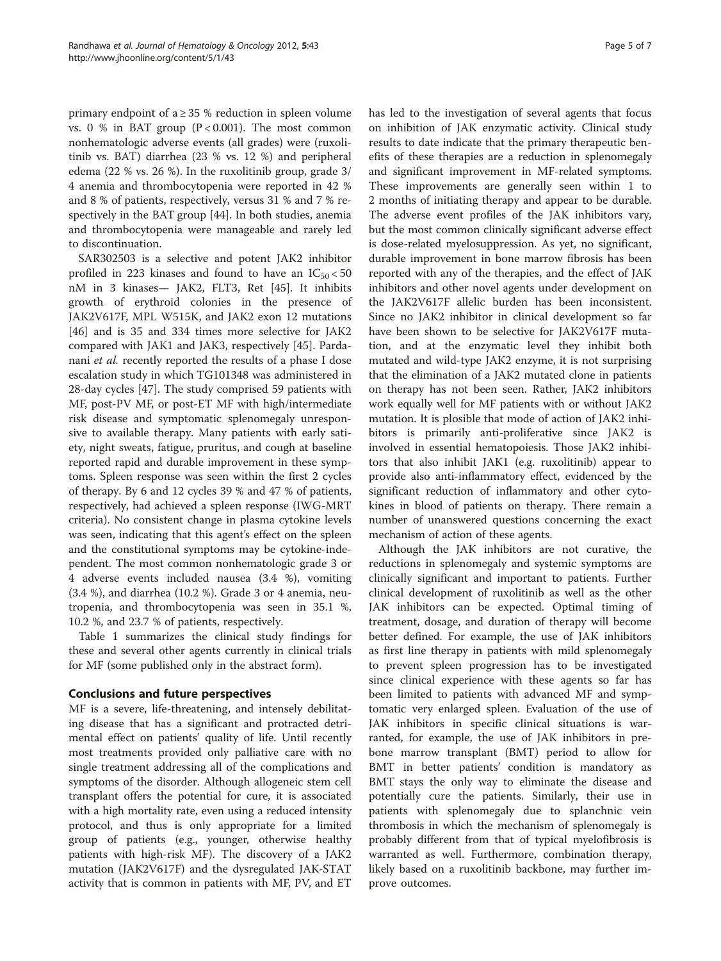primary endpoint of  $a \geq 35$  % reduction in spleen volume vs. 0 % in BAT group  $(P < 0.001)$ . The most common nonhematologic adverse events (all grades) were (ruxolitinib vs. BAT) diarrhea (23 % vs. 12 %) and peripheral edema (22 % vs. 26 %). In the ruxolitinib group, grade 3/ 4 anemia and thrombocytopenia were reported in 42 % and 8 % of patients, respectively, versus 31 % and 7 % respectively in the BAT group [[44](#page-6-0)]. In both studies, anemia and thrombocytopenia were manageable and rarely led to discontinuation.

SAR302503 is a selective and potent JAK2 inhibitor profiled in 223 kinases and found to have an  $IC_{50} < 50$ nM in 3 kinases— JAK2, FLT3, Ret [[45\]](#page-6-0). It inhibits growth of erythroid colonies in the presence of JAK2V617F, MPL W515K, and JAK2 exon 12 mutations [[46\]](#page-6-0) and is 35 and 334 times more selective for JAK2 compared with JAK1 and JAK3, respectively [\[45](#page-6-0)]. Pardanani et al. recently reported the results of a phase I dose escalation study in which TG101348 was administered in 28-day cycles [\[47\]](#page-6-0). The study comprised 59 patients with MF, post-PV MF, or post-ET MF with high/intermediate risk disease and symptomatic splenomegaly unresponsive to available therapy. Many patients with early satiety, night sweats, fatigue, pruritus, and cough at baseline reported rapid and durable improvement in these symptoms. Spleen response was seen within the first 2 cycles of therapy. By 6 and 12 cycles 39 % and 47 % of patients, respectively, had achieved a spleen response (IWG-MRT criteria). No consistent change in plasma cytokine levels was seen, indicating that this agent's effect on the spleen and the constitutional symptoms may be cytokine-independent. The most common nonhematologic grade 3 or 4 adverse events included nausea (3.4 %), vomiting (3.4 %), and diarrhea (10.2 %). Grade 3 or 4 anemia, neutropenia, and thrombocytopenia was seen in 35.1 %, 10.2 %, and 23.7 % of patients, respectively.

Table [1](#page-2-0) summarizes the clinical study findings for these and several other agents currently in clinical trials for MF (some published only in the abstract form).

# Conclusions and future perspectives

MF is a severe, life-threatening, and intensely debilitating disease that has a significant and protracted detrimental effect on patients' quality of life. Until recently most treatments provided only palliative care with no single treatment addressing all of the complications and symptoms of the disorder. Although allogeneic stem cell transplant offers the potential for cure, it is associated with a high mortality rate, even using a reduced intensity protocol, and thus is only appropriate for a limited group of patients (e.g., younger, otherwise healthy patients with high-risk MF). The discovery of a JAK2 mutation (JAK2V617F) and the dysregulated JAK-STAT activity that is common in patients with MF, PV, and ET has led to the investigation of several agents that focus on inhibition of JAK enzymatic activity. Clinical study results to date indicate that the primary therapeutic benefits of these therapies are a reduction in splenomegaly and significant improvement in MF-related symptoms. These improvements are generally seen within 1 to 2 months of initiating therapy and appear to be durable. The adverse event profiles of the JAK inhibitors vary, but the most common clinically significant adverse effect is dose-related myelosuppression. As yet, no significant, durable improvement in bone marrow fibrosis has been reported with any of the therapies, and the effect of JAK inhibitors and other novel agents under development on the JAK2V617F allelic burden has been inconsistent. Since no JAK2 inhibitor in clinical development so far have been shown to be selective for JAK2V617F mutation, and at the enzymatic level they inhibit both mutated and wild-type JAK2 enzyme, it is not surprising that the elimination of a JAK2 mutated clone in patients on therapy has not been seen. Rather, JAK2 inhibitors work equally well for MF patients with or without JAK2 mutation. It is plosible that mode of action of JAK2 inhibitors is primarily anti-proliferative since JAK2 is involved in essential hematopoiesis. Those JAK2 inhibitors that also inhibit JAK1 (e.g. ruxolitinib) appear to provide also anti-inflammatory effect, evidenced by the significant reduction of inflammatory and other cytokines in blood of patients on therapy. There remain a number of unanswered questions concerning the exact mechanism of action of these agents.

Although the JAK inhibitors are not curative, the reductions in splenomegaly and systemic symptoms are clinically significant and important to patients. Further clinical development of ruxolitinib as well as the other JAK inhibitors can be expected. Optimal timing of treatment, dosage, and duration of therapy will become better defined. For example, the use of JAK inhibitors as first line therapy in patients with mild splenomegaly to prevent spleen progression has to be investigated since clinical experience with these agents so far has been limited to patients with advanced MF and symptomatic very enlarged spleen. Evaluation of the use of JAK inhibitors in specific clinical situations is warranted, for example, the use of JAK inhibitors in prebone marrow transplant (BMT) period to allow for BMT in better patients' condition is mandatory as BMT stays the only way to eliminate the disease and potentially cure the patients. Similarly, their use in patients with splenomegaly due to splanchnic vein thrombosis in which the mechanism of splenomegaly is probably different from that of typical myelofibrosis is warranted as well. Furthermore, combination therapy, likely based on a ruxolitinib backbone, may further improve outcomes.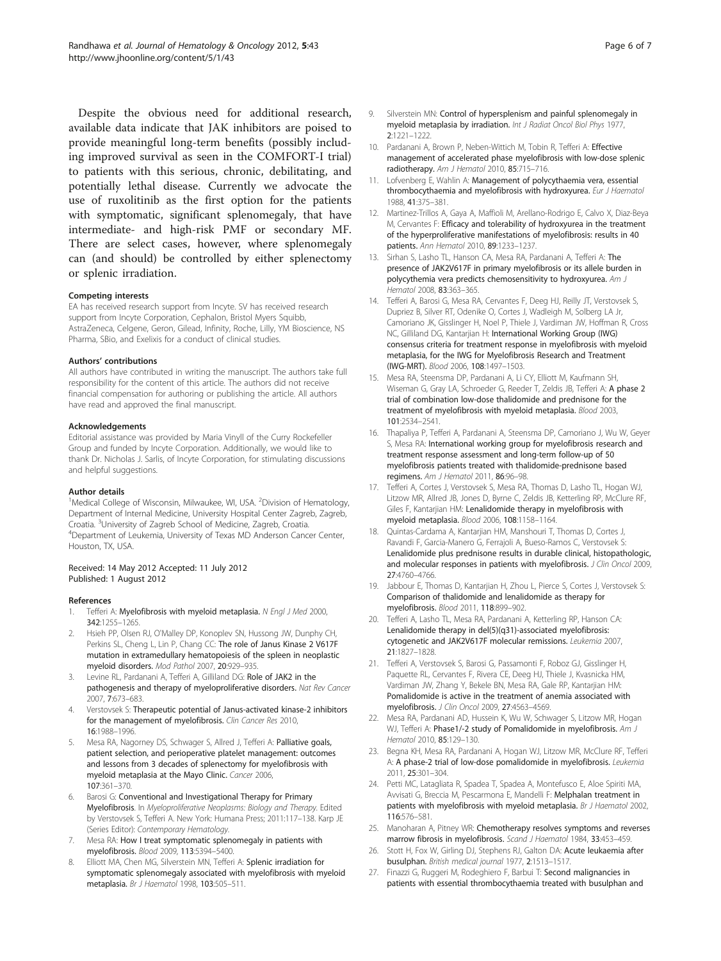<span id="page-5-0"></span>Despite the obvious need for additional research, available data indicate that JAK inhibitors are poised to provide meaningful long-term benefits (possibly including improved survival as seen in the COMFORT-I trial) to patients with this serious, chronic, debilitating, and potentially lethal disease. Currently we advocate the use of ruxolitinib as the first option for the patients with symptomatic, significant splenomegaly, that have intermediate- and high-risk PMF or secondary MF. There are select cases, however, where splenomegaly can (and should) be controlled by either splenectomy or splenic irradiation.

#### Competing interests

EA has received research support from Incyte. SV has received research support from Incyte Corporation, Cephalon, Bristol Myers Squibb, AstraZeneca, Celgene, Geron, Gilead, Infinity, Roche, Lilly, YM Bioscience, NS Pharma, SBio, and Exelixis for a conduct of clinical studies.

#### Authors' contributions

All authors have contributed in writing the manuscript. The authors take full responsibility for the content of this article. The authors did not receive financial compensation for authoring or publishing the article. All authors have read and approved the final manuscript.

#### Acknowledgements

Editorial assistance was provided by Maria Vinyll of the Curry Rockefeller Group and funded by Incyte Corporation. Additionally, we would like to thank Dr. Nicholas J. Sarlis, of Incyte Corporation, for stimulating discussions and helpful suggestions.

#### Author details

<sup>1</sup>Medical College of Wisconsin, Milwaukee, WI, USA. <sup>2</sup>Division of Hematology, Department of Internal Medicine, University Hospital Center Zagreb, Zagreb, Croatia. <sup>3</sup>University of Zagreb School of Medicine, Zagreb, Croatia.<br><sup>4</sup>Denartment of Leukemia, University of Texas MD, Anderson Canc <sup>4</sup>Department of Leukemia, University of Texas MD Anderson Cancer Center, Houston, TX, USA.

#### Received: 14 May 2012 Accepted: 11 July 2012 Published: 1 August 2012

#### References

- Tefferi A: Myelofibrosis with myeloid metaplasia. N Engl J Med 2000, 342:1255–1265.
- 2. Hsieh PP, Olsen RJ, O'Malley DP, Konoplev SN, Hussong JW, Dunphy CH, Perkins SL, Cheng L, Lin P, Chang CC: The role of Janus Kinase 2 V617F mutation in extramedullary hematopoiesis of the spleen in neoplastic myeloid disorders. Mod Pathol 2007, 20:929–935.
- 3. Levine RL, Pardanani A, Tefferi A, Gilliland DG: Role of JAK2 in the pathogenesis and therapy of myeloproliferative disorders. Nat Rev Cancer 2007, 7:673–683.
- Verstovsek S: Therapeutic potential of Janus-activated kinase-2 inhibitors for the management of myelofibrosis. Clin Cancer Res 2010, 16:1988–1996.
- Mesa RA, Nagorney DS, Schwager S, Allred J, Tefferi A: Palliative goals, patient selection, and perioperative platelet management: outcomes and lessons from 3 decades of splenectomy for myelofibrosis with myeloid metaplasia at the Mayo Clinic. Cancer 2006, 107:361–370.
- 6. Barosi G: Conventional and Investigational Therapy for Primary Myelofibrosis. In Myeloproliferative Neoplasms: Biology and Therapy. Edited by Verstovsek S, Tefferi A. New York: Humana Press; 2011:117–138. Karp JE (Series Editor): Contemporary Hematology.
- 7. Mesa RA: How I treat symptomatic splenomegaly in patients with myelofibrosis. Blood 2009, 113:5394–5400.
- Elliott MA, Chen MG, Silverstein MN, Tefferi A: Splenic irradiation for symptomatic splenomegaly associated with myelofibrosis with myeloid metaplasia. Br J Haematol 1998, 103:505–511.
- 
- Silverstein MN: Control of hypersplenism and painful splenomegaly in myeloid metaplasia by irradiation. Int J Radiat Oncol Biol Phys 1977, 2:1221–1222.
- 10. Pardanani A, Brown P, Neben-Wittich M, Tobin R, Tefferi A: Effective management of accelerated phase myelofibrosis with low-dose splenic radiotherapy. Am J Hematol 2010, 85:715–716.
- 11. Lofvenberg E, Wahlin A: Management of polycythaemia vera, essential thrombocythaemia and myelofibrosis with hydroxyurea. Eur J Haematol 1988, 41:375–381.
- 12. Martinez-Trillos A, Gaya A, Maffioli M, Arellano-Rodrigo E, Calvo X, Diaz-Beya M, Cervantes F: Efficacy and tolerability of hydroxyurea in the treatment of the hyperproliferative manifestations of myelofibrosis: results in 40 patients. Ann Hematol 2010, 89:1233–1237.
- 13. Sirhan S, Lasho TL, Hanson CA, Mesa RA, Pardanani A, Tefferi A: The presence of JAK2V617F in primary myelofibrosis or its allele burden in polycythemia vera predicts chemosensitivity to hydroxyurea. Am J Hematol 2008, 83:363–365.
- 14. Tefferi A, Barosi G, Mesa RA, Cervantes F, Deeg HJ, Reilly JT, Verstovsek S, Dupriez B, Silver RT, Odenike O, Cortes J, Wadleigh M, Solberg LA Jr, Camoriano JK, Gisslinger H, Noel P, Thiele J, Vardiman JW, Hoffman R, Cross NC, Gilliland DG, Kantarjian H: International Working Group (IWG) consensus criteria for treatment response in myelofibrosis with myeloid metaplasia, for the IWG for Myelofibrosis Research and Treatment (IWG-MRT). Blood 2006, 108:1497–1503.
- 15. Mesa RA, Steensma DP, Pardanani A, Li CY, Elliott M, Kaufmann SH, Wiseman G, Gray LA, Schroeder G, Reeder T, Zeldis JB, Tefferi A: A phase 2 trial of combination low-dose thalidomide and prednisone for the treatment of myelofibrosis with myeloid metaplasia. Blood 2003, 101:2534–2541.
- 16. Thapaliya P, Tefferi A, Pardanani A, Steensma DP, Camoriano J, Wu W, Geyer S, Mesa RA: International working group for myelofibrosis research and treatment response assessment and long-term follow-up of 50 myelofibrosis patients treated with thalidomide-prednisone based regimens. Am J Hematol 2011, 86:96–98.
- 17. Tefferi A, Cortes J, Verstovsek S, Mesa RA, Thomas D, Lasho TL, Hogan WJ, Litzow MR, Allred JB, Jones D, Byrne C, Zeldis JB, Ketterling RP, McClure RF, Giles F, Kantarjian HM: Lenalidomide therapy in myelofibrosis with myeloid metaplasia. Blood 2006, 108:1158–1164.
- Quintas-Cardama A, Kantarjian HM, Manshouri T, Thomas D, Cortes J, Ravandi F, Garcia-Manero G, Ferrajoli A, Bueso-Ramos C, Verstovsek S: Lenalidomide plus prednisone results in durable clinical, histopathologic, and molecular responses in patients with myelofibrosis. J Clin Oncol 2009, 27:4760–4766.
- 19. Jabbour E, Thomas D, Kantarjian H, Zhou L, Pierce S, Cortes J, Verstovsek S: Comparison of thalidomide and lenalidomide as therapy for myelofibrosis. Blood 2011, 118:899–902.
- 20. Tefferi A, Lasho TL, Mesa RA, Pardanani A, Ketterling RP, Hanson CA: Lenalidomide therapy in del(5)(q31)-associated myelofibrosis: cytogenetic and JAK2V617F molecular remissions. Leukemia 2007, 21:1827–1828.
- 21. Tefferi A, Verstovsek S, Barosi G, Passamonti F, Roboz GJ, Gisslinger H, Paquette RL, Cervantes F, Rivera CE, Deeg HJ, Thiele J, Kvasnicka HM, Vardiman JW, Zhang Y, Bekele BN, Mesa RA, Gale RP, Kantarjian HM: Pomalidomide is active in the treatment of anemia associated with myelofibrosis. J Clin Oncol 2009, 27:4563–4569.
- 22. Mesa RA, Pardanani AD, Hussein K, Wu W, Schwager S, Litzow MR, Hogan WJ, Tefferi A: Phase1/-2 study of Pomalidomide in myelofibrosis. Am J Hematol 2010, 85:129–130.
- 23. Begna KH, Mesa RA, Pardanani A, Hogan WJ, Litzow MR, McClure RF, Tefferi A: A phase-2 trial of low-dose pomalidomide in myelofibrosis. Leukemia 2011, 25:301–304.
- 24. Petti MC, Latagliata R, Spadea T, Spadea A, Montefusco E, Aloe Spiriti MA, Avvisati G, Breccia M, Pescarmona E, Mandelli F: Melphalan treatment in patients with myelofibrosis with myeloid metaplasia. Br J Haematol 2002, 116:576–581.
- 25. Manoharan A, Pitney WR: Chemotherapy resolves symptoms and reverses marrow fibrosis in myelofibrosis. Scand J Haematol 1984, 33:453-459.
- 26. Stott H, Fox W, Girling DJ, Stephens RJ, Galton DA: Acute leukaemia after busulphan. British medical journal 1977, 2:1513–1517.
- 27. Finazzi G, Ruggeri M, Rodeghiero F, Barbui T: Second malignancies in patients with essential thrombocythaemia treated with busulphan and